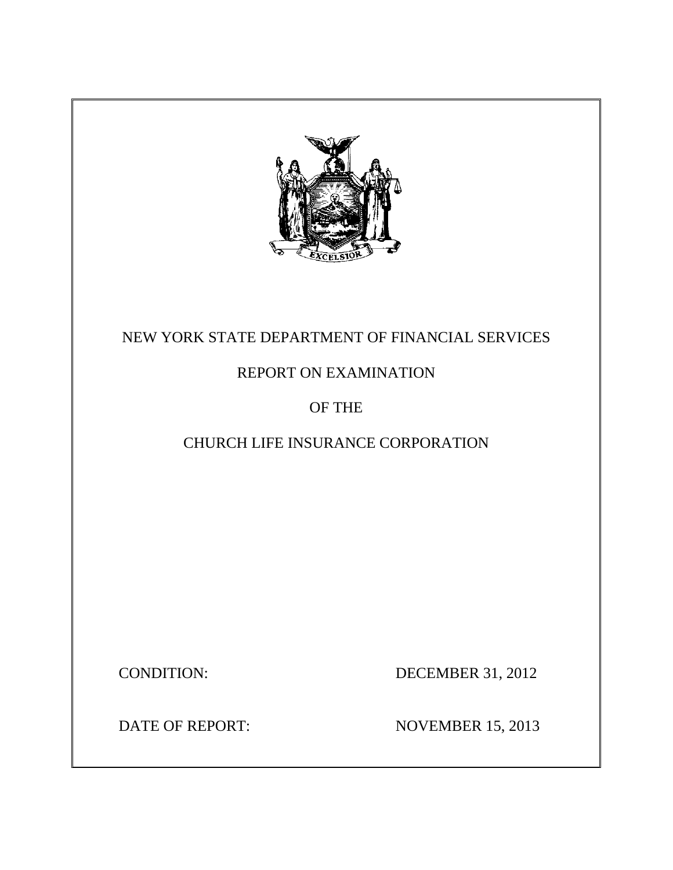

# NEW YORK STATE DEPARTMENT OF FINANCIAL SERVICES

# REPORT ON EXAMINATION

# OF THE

# CHURCH LIFE INSURANCE CORPORATION

**CONDITION:** 

DECEMBER 31, 2012

DATE OF REPORT:

**NOVEMBER 15, 2013**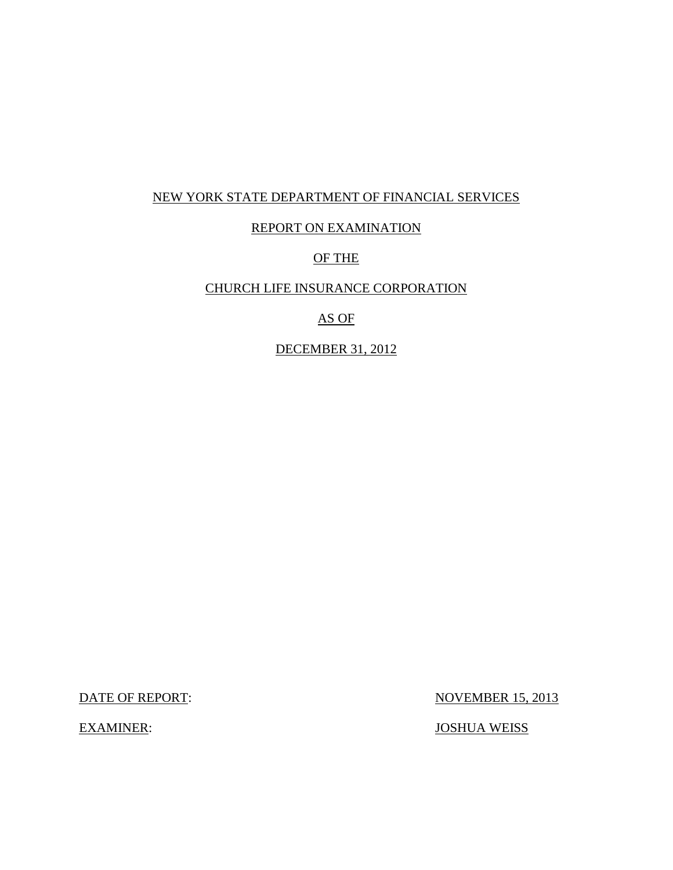### NEW YORK STATE DEPARTMENT OF FINANCIAL SERVICES

### REPORT ON EXAMINATION

## OF THE

### CHURCH LIFE INSURANCE CORPORATION

## AS OF

### DECEMBER 31, 2012

DATE OF REPORT:

**EXAMINER:** 

**NOVEMBER 15, 2013** 

JOSHUA WEISS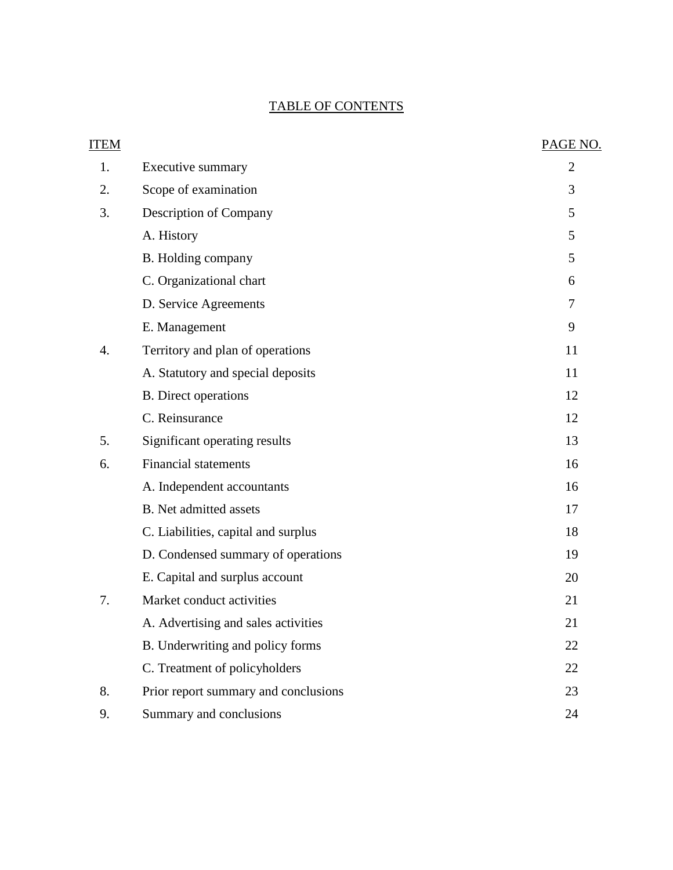# TABLE OF CONTENTS

| <b>ITEM</b> |                                      | PAGE NO.       |
|-------------|--------------------------------------|----------------|
| 1.          | Executive summary                    | $\overline{2}$ |
| 2.          | Scope of examination                 | 3              |
| 3.          | Description of Company               | 5              |
|             | A. History                           | 5              |
|             | B. Holding company                   | 5              |
|             | C. Organizational chart              | 6              |
|             | D. Service Agreements                | 7              |
|             | E. Management                        | 9              |
| 4.          | Territory and plan of operations     | 11             |
|             | A. Statutory and special deposits    | 11             |
|             | <b>B.</b> Direct operations          | 12             |
|             | C. Reinsurance                       | 12             |
| 5.          | Significant operating results        | 13             |
| 6.          | <b>Financial statements</b>          | 16             |
|             | A. Independent accountants           | 16             |
|             | <b>B.</b> Net admitted assets        | 17             |
|             | C. Liabilities, capital and surplus  | 18             |
|             | D. Condensed summary of operations   | 19             |
|             | E. Capital and surplus account       | 20             |
| 7.          | Market conduct activities            | 21             |
|             | A. Advertising and sales activities  | 21             |
|             | B. Underwriting and policy forms     | 22             |
|             | C. Treatment of policyholders        | 22             |
| 8.          | Prior report summary and conclusions | 23             |
| 9.          | Summary and conclusions              | 24             |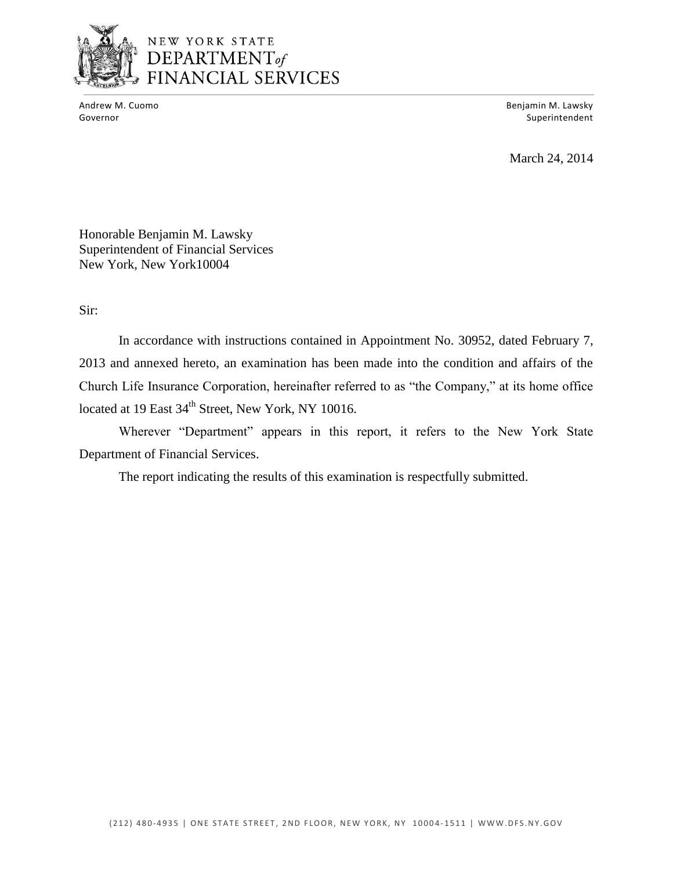

Andrew M. Cuomo

Benjamin M. Lawsky Governor Superintendent and Superintendent and Superintendent and Superintendent and Superintendent and Superintendent and Superintendent and Superintendent and Superintendent and Superintendent and Superintendent and Supe

March 24, 2014

Honorable Benjamin M. Lawsky Superintendent of Financial Services New York, New York10004

Sir:

 In accordance with instructions contained in Appointment No. 30952, dated February 7, Church Life Insurance Corporation, hereinafter referred to as "the Company," at its home office 2013 and annexed hereto, an examination has been made into the condition and affairs of the located at 19 East 34<sup>th</sup> Street, New York, NY 10016.

Wherever "Department" appears in this report, it refers to the New York State Department of Financial Services.

The report indicating the results of this examination is respectfully submitted.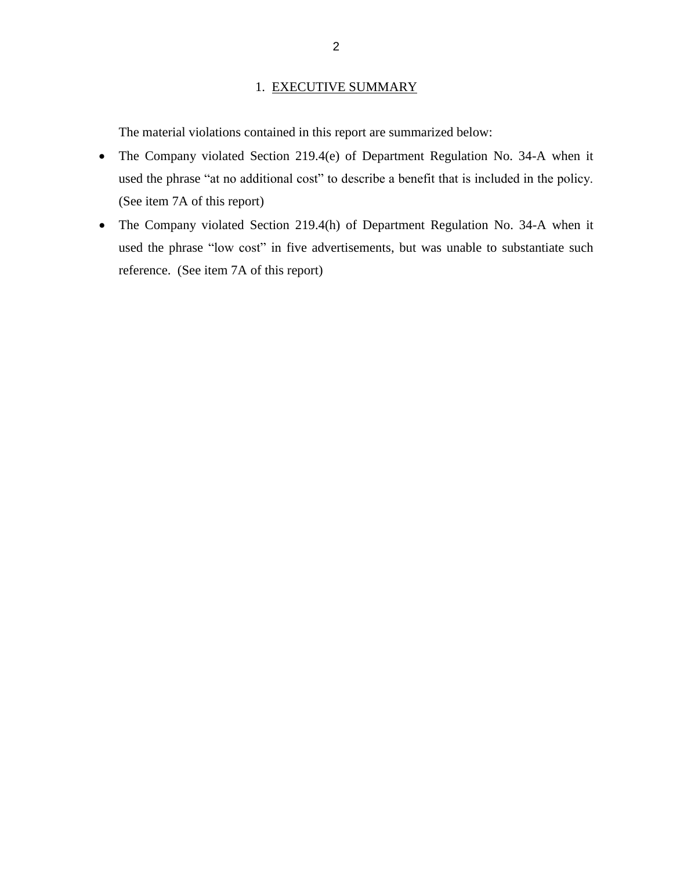### 1. EXECUTIVE SUMMARY

<span id="page-4-0"></span>The material violations contained in this report are summarized below:

- The Company violated Section 219.4(e) of Department Regulation No. 34-A when it used the phrase "at no additional cost" to describe a benefit that is included in the policy. (See item 7A of this report)
- The Company violated Section 219.4(h) of Department Regulation No. 34-A when it used the phrase "low cost" in five advertisements, but was unable to substantiate such reference. (See item 7A of this report)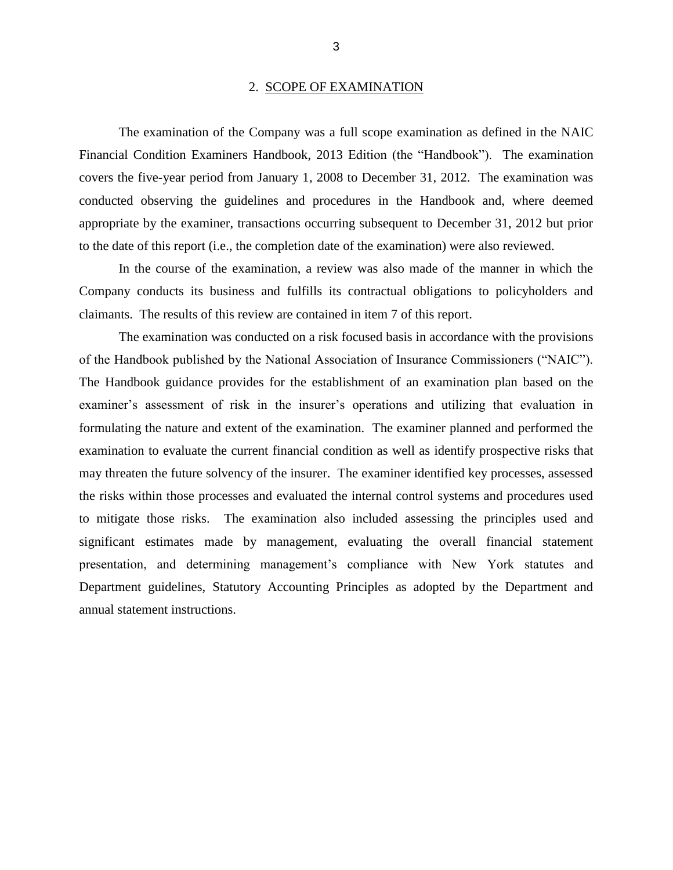#### 2. SCOPE OF EXAMINATION

<span id="page-5-0"></span> Financial Condition Examiners Handbook, 2013 Edition (the "Handbook"). The examination covers the five-year period from January 1, 2008 to December 31, 2012. The examination was conducted observing the guidelines and procedures in the Handbook and, where deemed appropriate by the examiner, transactions occurring subsequent to December 31, 2012 but prior The examination of the Company was a full scope examination as defined in the NAIC to the date of this report (i.e., the completion date of the examination) were also reviewed.

 In the course of the examination, a review was also made of the manner in which the Company conducts its business and fulfills its contractual obligations to policyholders and claimants. The results of this review are contained in item 7 of this report.

 of the Handbook published by the National Association of Insurance Commissioners ("NAIC"). examiner's assessment of risk in the insurer's operations and utilizing that evaluation in formulating the nature and extent of the examination. The examiner planned and performed the examination to evaluate the current financial condition as well as identify prospective risks that may threaten the future solvency of the insurer. The examiner identified key processes, assessed to mitigate those risks. The examination also included assessing the principles used and significant estimates made by management, evaluating the overall financial statement presentation, and determining management's compliance with New York statutes and Department guidelines, Statutory Accounting Principles as adopted by the Department and The examination was conducted on a risk focused basis in accordance with the provisions The Handbook guidance provides for the establishment of an examination plan based on the the risks within those processes and evaluated the internal control systems and procedures used annual statement instructions.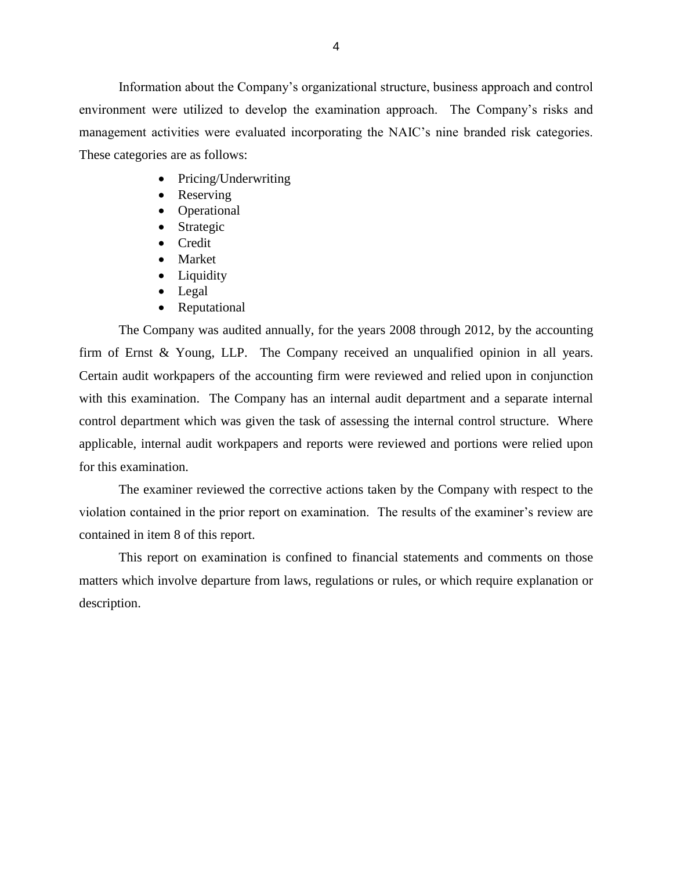environment were utilized to develop the examination approach. The Company's risks and management activities were evaluated incorporating the NAIC's nine branded risk categories. These categories are as follows: Information about the Company's organizational structure, business approach and control

- Pricing/Underwriting
- Reserving
- Operational
- Strategic
- Credit
- Market
- Liquidity
- Legal
- Reputational

 The Company was audited annually, for the years 2008 through 2012, by the accounting firm of Ernst & Young, LLP. The Company received an unqualified opinion in all years. Certain audit workpapers of the accounting firm were reviewed and relied upon in conjunction with this examination. The Company has an internal audit department and a separate internal control department which was given the task of assessing the internal control structure. Where applicable, internal audit workpapers and reports were reviewed and portions were relied upon for this examination.

 violation contained in the prior report on examination. The results of the examiner's review are The examiner reviewed the corrective actions taken by the Company with respect to the contained in item 8 of this report.

 matters which involve departure from laws, regulations or rules, or which require explanation or This report on examination is confined to financial statements and comments on those description.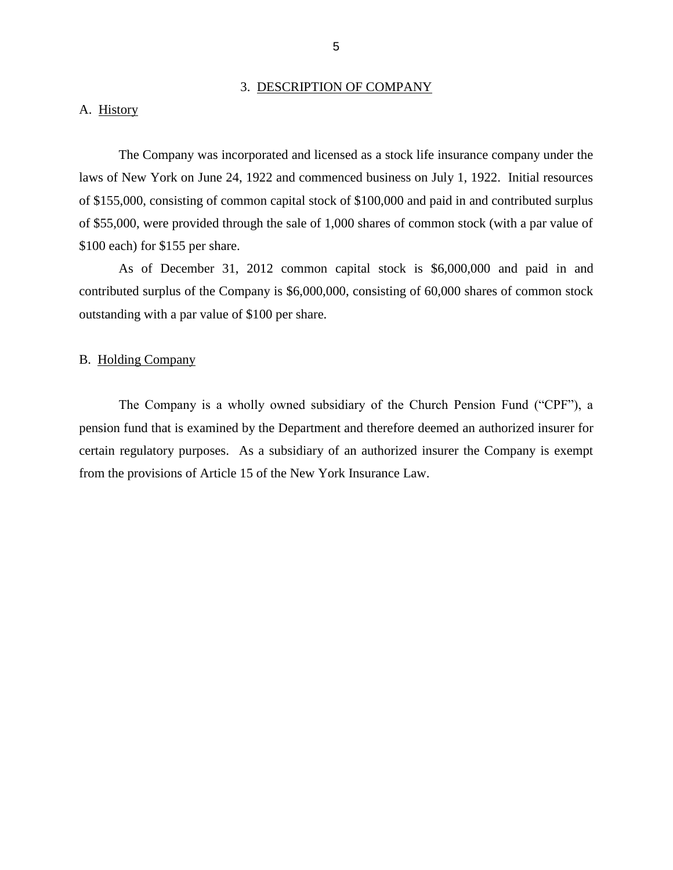#### 3. DESCRIPTION OF COMPANY

#### <span id="page-7-0"></span>A. History

 laws of New York on June 24, 1922 and commenced business on July 1, 1922. Initial resources of \$155,000, consisting of common capital stock of \$100,000 and paid in and contributed surplus of \$55,000, were provided through the sale of 1,000 shares of common stock (with a par value of The Company was incorporated and licensed as a stock life insurance company under the \$100 each) for \$155 per share.

 As of December 31, 2012 common capital stock is \$6,000,000 and paid in and contributed surplus of the Company is \$6,000,000, consisting of 60,000 shares of common stock outstanding with a par value of \$100 per share.

#### B. Holding Company

 The Company is a wholly owned subsidiary of the Church Pension Fund ("CPF"), a certain regulatory purposes. As a subsidiary of an authorized insurer the Company is exempt from the provisions of Article 15 of the New York Insurance Law. pension fund that is examined by the Department and therefore deemed an authorized insurer for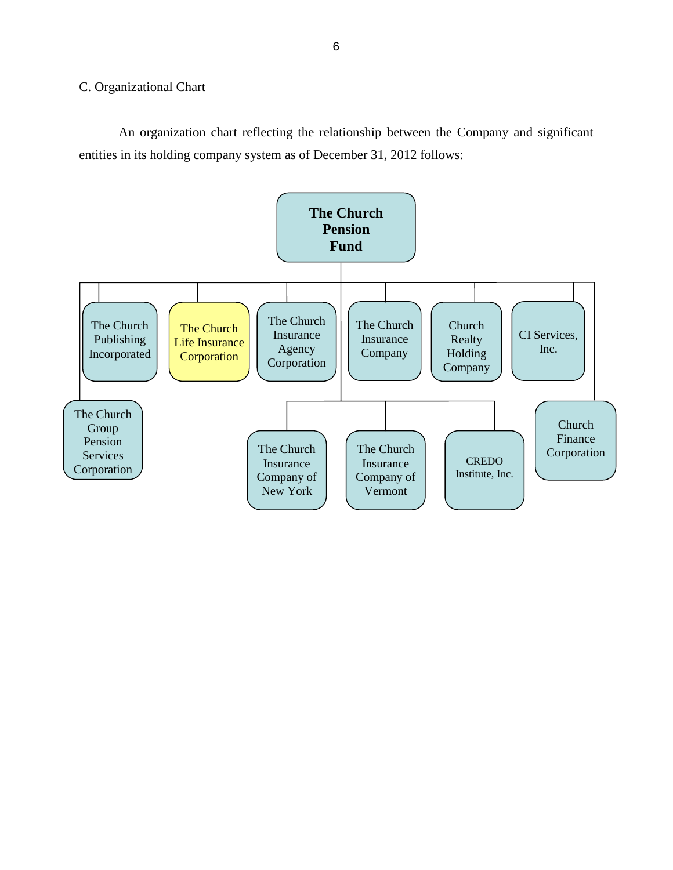## <span id="page-8-0"></span>C. Organizational Chart

 An organization chart reflecting the relationship between the Company and significant entities in its holding company system as of December 31, 2012 follows:

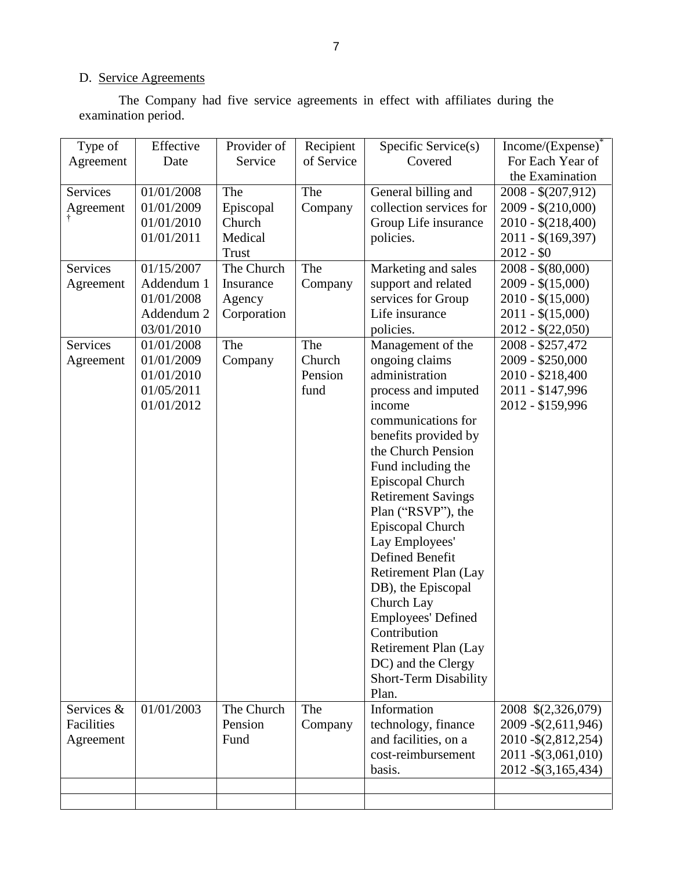#### D. Service Agreements

 The Company had five service agreements in effect with affiliates during the examination period.

| Type of         | Effective  | Provider of  | Recipient  | Specific Service(s)          | Income/(Expense)      |
|-----------------|------------|--------------|------------|------------------------------|-----------------------|
| Agreement       | Date       | Service      | of Service | Covered                      | For Each Year of      |
|                 |            |              |            |                              | the Examination       |
| Services        | 01/01/2008 | The          | The        | General billing and          | $2008 - $(207, 912)$  |
| Agreement       | 01/01/2009 | Episcopal    | Company    | collection services for      | $2009 - $(210,000)$   |
|                 | 01/01/2010 | Church       |            | Group Life insurance         | $2010 - $(218,400)$   |
|                 | 01/01/2011 | Medical      |            | policies.                    | $2011 - $(169,397)$   |
|                 |            | <b>Trust</b> |            |                              | $2012 - $0$           |
| <b>Services</b> | 01/15/2007 | The Church   | The        | Marketing and sales          | $2008 - $(80,000)$    |
| Agreement       | Addendum 1 | Insurance    | Company    | support and related          | $2009 - $(15,000)$    |
|                 | 01/01/2008 | Agency       |            | services for Group           | $2010 - $(15,000)$    |
|                 | Addendum 2 |              |            | Life insurance               | $2011 - $(15,000)$    |
|                 |            | Corporation  |            |                              |                       |
|                 | 03/01/2010 |              |            | policies.                    | $2012 - $(22,050)$    |
| Services        | 01/01/2008 | The          | The        | Management of the            | 2008 - \$257,472      |
| Agreement       | 01/01/2009 | Company      | Church     | ongoing claims               | 2009 - \$250,000      |
|                 | 01/01/2010 |              | Pension    | administration               | 2010 - \$218,400      |
|                 | 01/05/2011 |              | fund       | process and imputed          | 2011 - \$147,996      |
|                 | 01/01/2012 |              |            | income                       | 2012 - \$159,996      |
|                 |            |              |            | communications for           |                       |
|                 |            |              |            | benefits provided by         |                       |
|                 |            |              |            | the Church Pension           |                       |
|                 |            |              |            | Fund including the           |                       |
|                 |            |              |            | Episcopal Church             |                       |
|                 |            |              |            | <b>Retirement Savings</b>    |                       |
|                 |            |              |            | Plan ("RSVP"), the           |                       |
|                 |            |              |            | Episcopal Church             |                       |
|                 |            |              |            | Lay Employees'               |                       |
|                 |            |              |            | Defined Benefit              |                       |
|                 |            |              |            |                              |                       |
|                 |            |              |            | Retirement Plan (Lay         |                       |
|                 |            |              |            | DB), the Episcopal           |                       |
|                 |            |              |            | Church Lay                   |                       |
|                 |            |              |            | <b>Employees' Defined</b>    |                       |
|                 |            |              |            | Contribution                 |                       |
|                 |            |              |            | Retirement Plan (Lay         |                       |
|                 |            |              |            | DC) and the Clergy           |                       |
|                 |            |              |            | <b>Short-Term Disability</b> |                       |
|                 |            |              |            | Plan.                        |                       |
| Services &      | 01/01/2003 | The Church   | The        | Information                  | 2008 \$(2,326,079)    |
| Facilities      |            | Pension      | Company    | technology, finance          | 2009 - \$ (2,611,946) |
| Agreement       |            | Fund         |            | and facilities, on a         | 2010-\$(2,812,254)    |
|                 |            |              |            | cost-reimbursement           | 2011 - \$ (3,061,010) |
|                 |            |              |            | basis.                       | 2012 - \$ (3,165,434) |
|                 |            |              |            |                              |                       |
|                 |            |              |            |                              |                       |
|                 |            |              |            |                              |                       |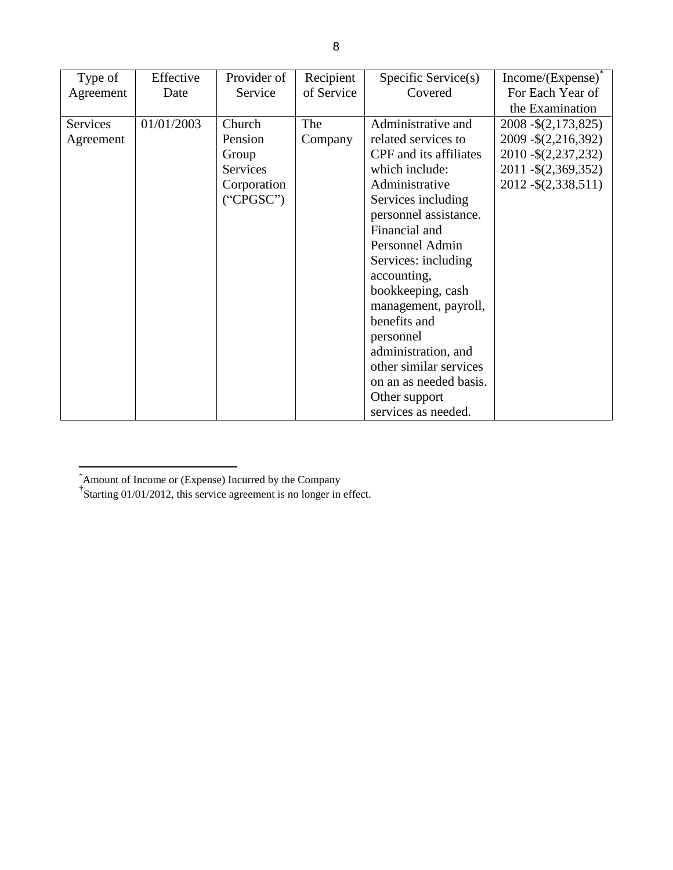| Type of   | Effective  | Provider of | Recipient  | Specific Service(s)    | $Income/(Expense)^{^{\circ}}$ |
|-----------|------------|-------------|------------|------------------------|-------------------------------|
| Agreement | Date       | Service     | of Service | Covered                | For Each Year of              |
|           |            |             |            |                        | the Examination               |
| Services  | 01/01/2003 | Church      | The        | Administrative and     | 2008 - \$ (2,173,825)         |
| Agreement |            | Pension     | Company    | related services to    | 2009 - \$ (2,216,392)         |
|           |            | Group       |            | CPF and its affiliates | 2010 - \$ (2,237,232)         |
|           |            | Services    |            | which include:         | 2011 - \$ (2,369,352)         |
|           |            | Corporation |            | Administrative         | 2012 - \$ (2,338,511)         |
|           |            | ("CPGSC")   |            | Services including     |                               |
|           |            |             |            | personnel assistance.  |                               |
|           |            |             |            | Financial and          |                               |
|           |            |             |            | Personnel Admin        |                               |
|           |            |             |            | Services: including    |                               |
|           |            |             |            | accounting,            |                               |
|           |            |             |            | bookkeeping, cash      |                               |
|           |            |             |            | management, payroll,   |                               |
|           |            |             |            | benefits and           |                               |
|           |            |             |            | personnel              |                               |
|           |            |             |            | administration, and    |                               |
|           |            |             |            | other similar services |                               |
|           |            |             |            | on an as needed basis. |                               |
|           |            |             |            | Other support          |                               |
|           |            |             |            | services as needed.    |                               |

 $\overline{a}$ Ì.

<sup>&</sup>lt;sup>\*</sup>Amount of Income or (Expense) Incurred by the Company  $\overline{f}$ Starting 01/01/2012, this service agreement is no longer in effect.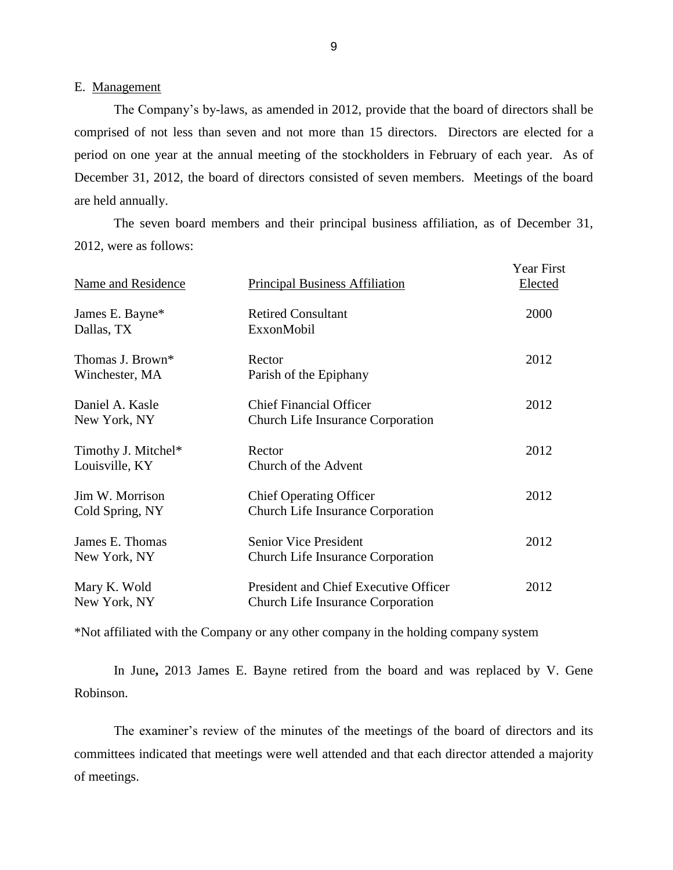### E. Management

 The Company's by-laws, as amended in 2012, provide that the board of directors shall be comprised of not less than seven and not more than 15 directors. Directors are elected for a period on one year at the annual meeting of the stockholders in February of each year. As of December 31, 2012, the board of directors consisted of seven members. Meetings of the board are held annually.

 2012, were as follows: The seven board members and their principal business affiliation, as of December 31,

| Name and Residence                    | <b>Principal Business Affiliation</b>                                             | Year First<br>Elected |
|---------------------------------------|-----------------------------------------------------------------------------------|-----------------------|
| James E. Bayne*<br>Dallas, TX         | <b>Retired Consultant</b><br>ExxonMobil                                           | 2000                  |
| Thomas J. Brown*<br>Winchester, MA    | Rector<br>Parish of the Epiphany                                                  | 2012                  |
| Daniel A. Kasle<br>New York, NY       | <b>Chief Financial Officer</b><br><b>Church Life Insurance Corporation</b>        | 2012                  |
| Timothy J. Mitchel*<br>Louisville, KY | Rector<br>Church of the Advent                                                    | 2012                  |
| Jim W. Morrison<br>Cold Spring, NY    | <b>Chief Operating Officer</b><br><b>Church Life Insurance Corporation</b>        | 2012                  |
| James E. Thomas<br>New York, NY       | <b>Senior Vice President</b><br><b>Church Life Insurance Corporation</b>          | 2012                  |
| Mary K. Wold<br>New York, NY          | President and Chief Executive Officer<br><b>Church Life Insurance Corporation</b> | 2012                  |

\*Not affiliated with the Company or any other company in the holding company system

 In June**,** 2013 James E. Bayne retired from the board and was replaced by V. Gene Robinson.

 The examiner's review of the minutes of the meetings of the board of directors and its committees indicated that meetings were well attended and that each director attended a majority of meetings.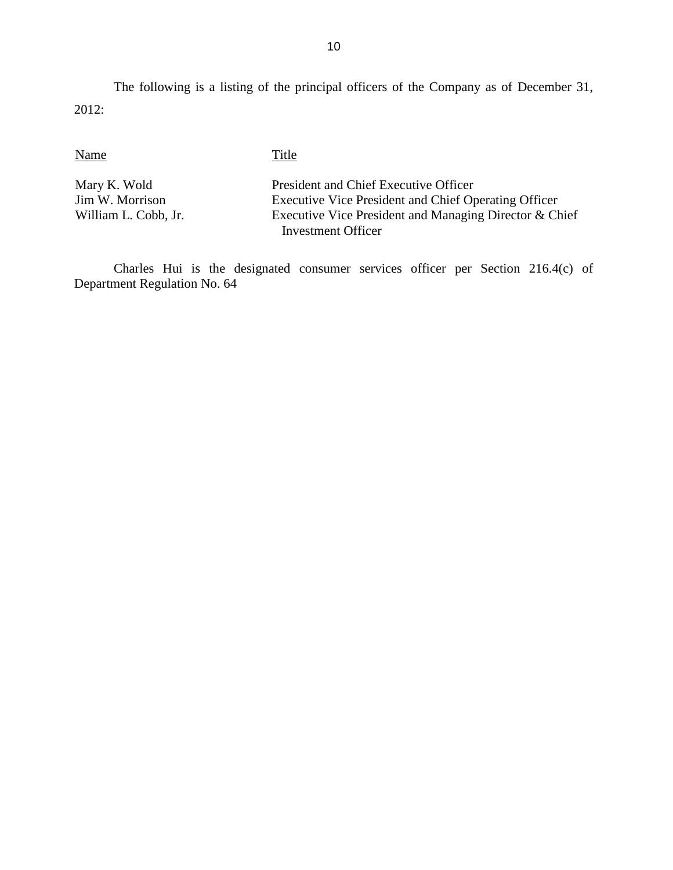The following is a listing of the principal officers of the Company as of December 31, 2012:

Name Title

Mary K. Wold<br>
Im W. Morrison<br>
President and Chief Executive Officer<br>
Executive Vice President and Chief Operation Executive Vice President and Chief Operating Officer William L. Cobb, Jr. Executive Vice President and Managing Director & Chief Investment Officer

 Charles Hui is the designated consumer services officer per Section 216.4(c) of Department Regulation No. 64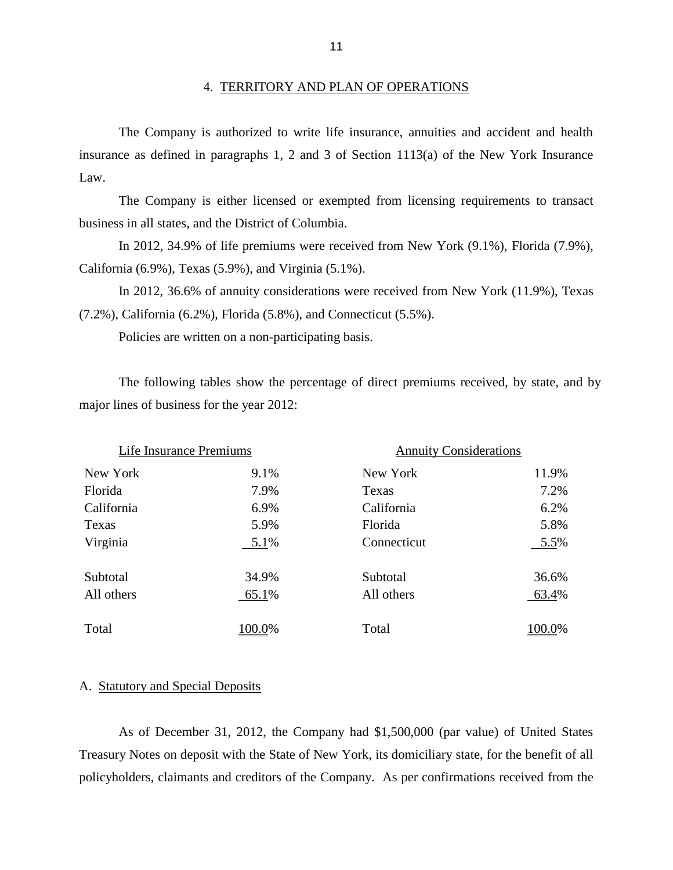#### 4. TERRITORY AND PLAN OF OPERATIONS

 insurance as defined in paragraphs 1, 2 and 3 of Section 1113(a) of the New York Insurance The Company is authorized to write life insurance, annuities and accident and health Law.

business in all states, and the District of Columbia. business in all states, and the District of Columbia. In 2012, 34.9% of life premiums were received from New York (9.1%), Florida (7.9%), The Company is either licensed or exempted from licensing requirements to transact

California (6.9%), Texas (5.9%), and Virginia (5.1%).

 In 2012, 36.6% of annuity considerations were received from New York (11.9%), Texas (7.2%), California (6.2%), Florida (5.8%), and Connecticut (5.5%).

Policies are written on a non-participating basis.

The following tables show the percentage of direct premiums received, by state, and by major lines of business for the year 2012:

| Life Insurance Premiums |        | <b>Annuity Considerations</b> |        |  |
|-------------------------|--------|-------------------------------|--------|--|
| New York                | 9.1%   | New York                      | 11.9%  |  |
| Florida                 | 7.9%   | Texas                         | 7.2%   |  |
| California              | 6.9%   | California                    | 6.2%   |  |
| Texas                   | 5.9%   | Florida                       | 5.8%   |  |
| Virginia                | 5.1%   | Connecticut                   | 5.5%   |  |
| Subtotal                | 34.9%  | Subtotal                      | 36.6%  |  |
| All others              | 65.1%  | All others                    | 63.4%  |  |
| Total                   | 100.0% | Total                         | 100.0% |  |

#### A. Statutory and Special Deposits

 As of December 31, 2012, the Company had \$1,500,000 (par value) of United States Treasury Notes on deposit with the State of New York, its domiciliary state, for the benefit of all policyholders, claimants and creditors of the Company. As per confirmations received from the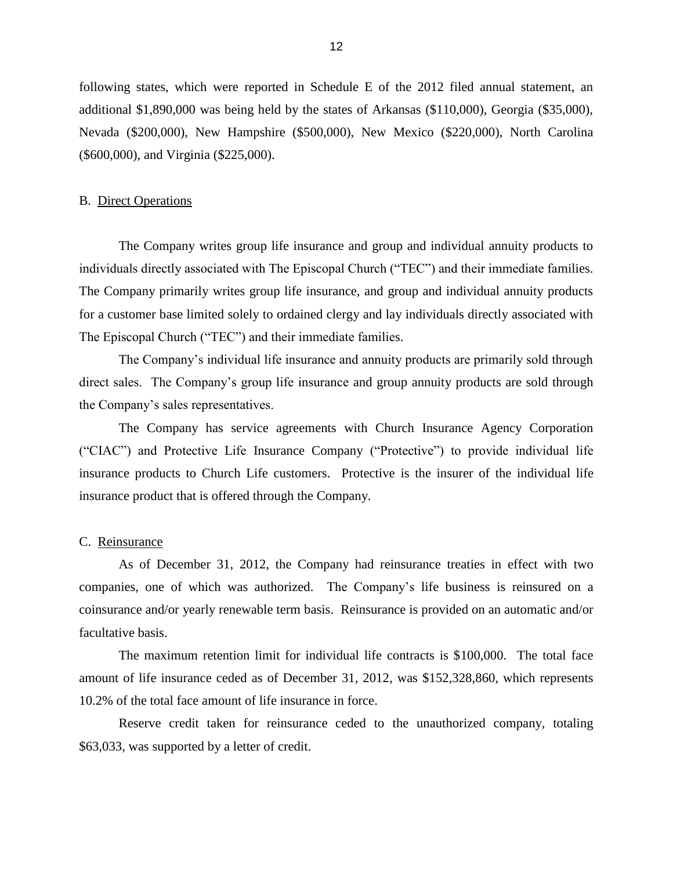<span id="page-14-0"></span> additional \$1,890,000 was being held by the states of Arkansas (\$110,000), Georgia (\$35,000), (\$600,000), and Virginia (\$225,000). following states, which were reported in Schedule E of the 2012 filed annual statement, an Nevada (\$200,000), New Hampshire (\$500,000), New Mexico (\$220,000), North Carolina

#### B. Direct Operations

 The Company writes group life insurance and group and individual annuity products to The Company primarily writes group life insurance, and group and individual annuity products for a customer base limited solely to ordained clergy and lay individuals directly associated with individuals directly associated with The Episcopal Church ("TEC") and their immediate families. The Episcopal Church ("TEC") and their immediate families.

 The Company's individual life insurance and annuity products are primarily sold through direct sales. The Company's group life insurance and group annuity products are sold through the Company's sales representatives.

 ("CIAC") and Protective Life Insurance Company ("Protective") to provide individual life insurance products to Church Life customers. Protective is the insurer of the individual life insurance product that is offered through the Company.<br>C. Reinsurance The Company has service agreements with Church Insurance Agency Corporation

 companies, one of which was authorized. The Company's life business is reinsured on a coinsurance and/or yearly renewable term basis. Reinsurance is provided on an automatic and/or As of December 31, 2012, the Company had reinsurance treaties in effect with two facultative basis.

 amount of life insurance ceded as of December 31, 2012, was \$152,328,860, which represents The maximum retention limit for individual life contracts is \$100,000. The total face 10.2% of the total face amount of life insurance in force.

 Reserve credit taken for reinsurance ceded to the unauthorized company, totaling \$63,033, was supported by a letter of credit.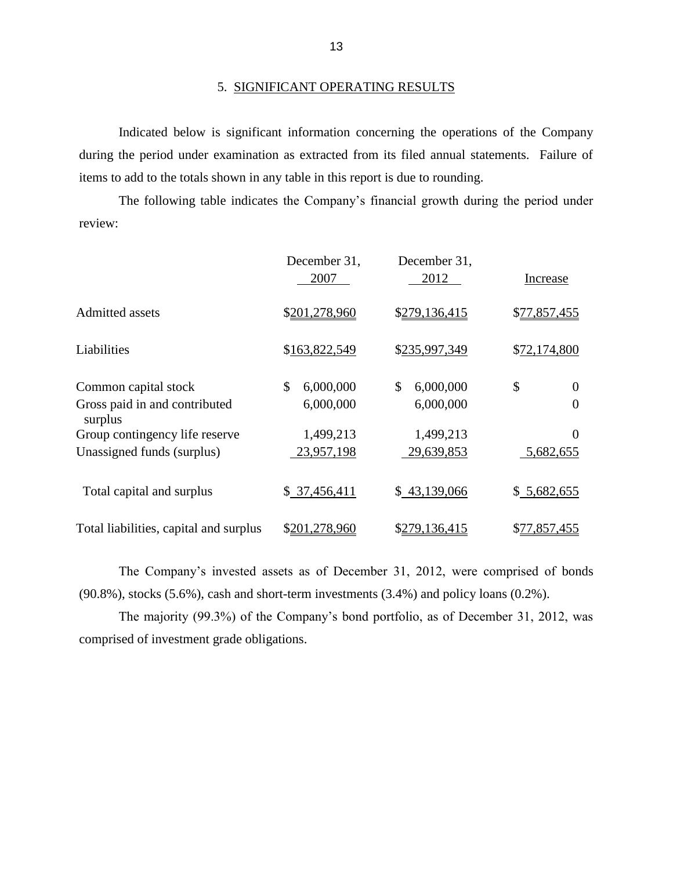### 5. SIGNIFICANT OPERATING RESULTS

 during the period under examination as extracted from its filed annual statements. Failure of Indicated below is significant information concerning the operations of the Company items to add to the totals shown in any table in this report is due to rounding.

The following table indicates the Company's financial growth during the period under review:

|                                          | December 31,<br>2007 | December 31,<br>2012 | Increase       |
|------------------------------------------|----------------------|----------------------|----------------|
| Admitted assets                          | \$201,278,960        | \$279,136,415        | \$77,857,455   |
| Liabilities                              | \$163,822,549        | \$235,997,349        | \$72,174,800   |
| Common capital stock                     | \$<br>6,000,000      | \$<br>6,000,000      | \$<br>$\theta$ |
| Gross paid in and contributed<br>surplus | 6,000,000            | 6,000,000            | $\overline{0}$ |
| Group contingency life reserve           | 1,499,213            | 1,499,213            | $\Omega$       |
| Unassigned funds (surplus)               | 23,957,198           | 29,639,853           | 5,682,655      |
| Total capital and surplus                | \$37,456,411         | \$43,139,066         | \$5,682,655    |
| Total liabilities, capital and surplus   | \$201,278,960        | \$279,136,415        | \$77,857,455   |

 The Company's invested assets as of December 31, 2012, were comprised of bonds (90.8%), stocks (5.6%), cash and short-term investments (3.4%) and policy loans (0.2%).

 The majority (99.3%) of the Company's bond portfolio, as of December 31, 2012, was comprised of investment grade obligations.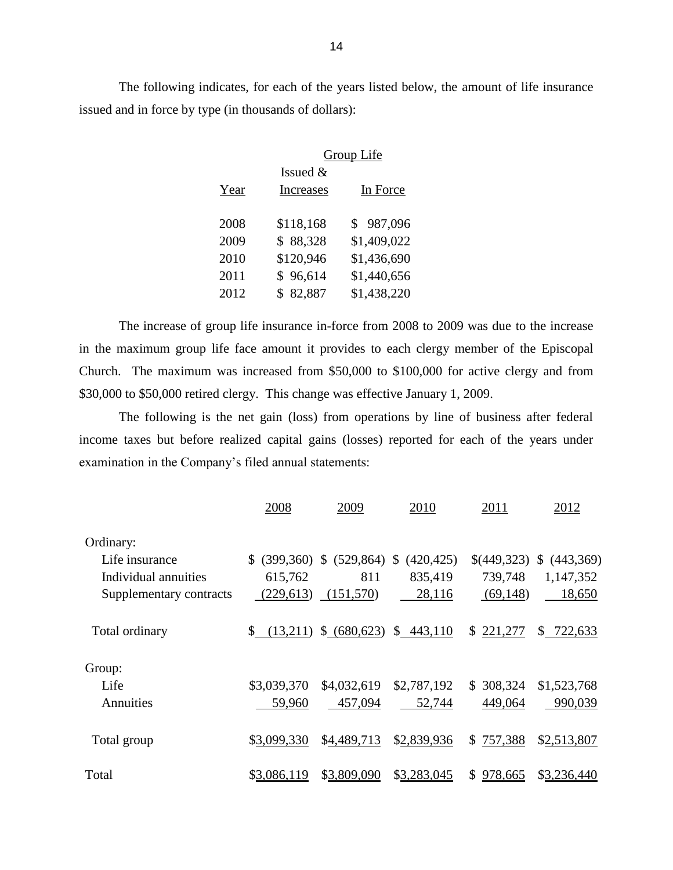The following indicates, for each of the years listed below, the amount of life insurance issued and in force by type (in thousands of dollars):

|      | Group Life |             |  |  |  |  |
|------|------------|-------------|--|--|--|--|
|      | Issued $&$ |             |  |  |  |  |
| Year | Increases  | In Force    |  |  |  |  |
|      |            |             |  |  |  |  |
| 2008 | \$118,168  | \$987,096   |  |  |  |  |
| 2009 | \$88,328   | \$1,409,022 |  |  |  |  |
| 2010 | \$120,946  | \$1,436,690 |  |  |  |  |
| 2011 | \$96,614   | \$1,440,656 |  |  |  |  |
| 2012 | \$82,887   | \$1,438,220 |  |  |  |  |

 in the maximum group life face amount it provides to each clergy member of the Episcopal Church. The maximum was increased from \$50,000 to \$100,000 for active clergy and from The increase of group life insurance in-force from 2008 to 2009 was due to the increase \$30,000 to \$50,000 retired clergy. This change was effective January 1, 2009.

 The following is the net gain (loss) from operations by line of business after federal income taxes but before realized capital gains (losses) reported for each of the years under examination in the Company's filed annual statements:

|                         | 2008           | 2009             | 2010          | 2011           | 2012          |
|-------------------------|----------------|------------------|---------------|----------------|---------------|
| Ordinary:               |                |                  |               |                |               |
| Life insurance          | \$ (399,360)   | $$ (529,864)$ \$ | (420, 425)    | \$(449,323)    | \$ (443,369)  |
| Individual annuities    | 615,762        | 811              | 835,419       | 739,748        | 1,147,352     |
| Supplementary contracts | (229, 613)     | (151,570)        | 28,116        | (69,148)       | 18,650        |
| Total ordinary          | \$<br>(13,211) | \$ (680,623)     | 443,110<br>\$ | S.<br>221,277  | S.<br>722,633 |
| Group:                  |                |                  |               |                |               |
| Life                    | \$3,039,370    | \$4,032,619      | \$2,787,192   | \$308,324      | \$1,523,768   |
| Annuities               | 59,960         | 457,094          | 52,744        | 449,064        | 990,039       |
| Total group             | \$3,099,330    | \$4,489,713      | \$2,839,936   | 757,388<br>S.  | \$2,513,807   |
| Total                   | \$3,086,119    | \$3,809,090      | \$3,283,045   | 978,665<br>\$. | \$3,236,440   |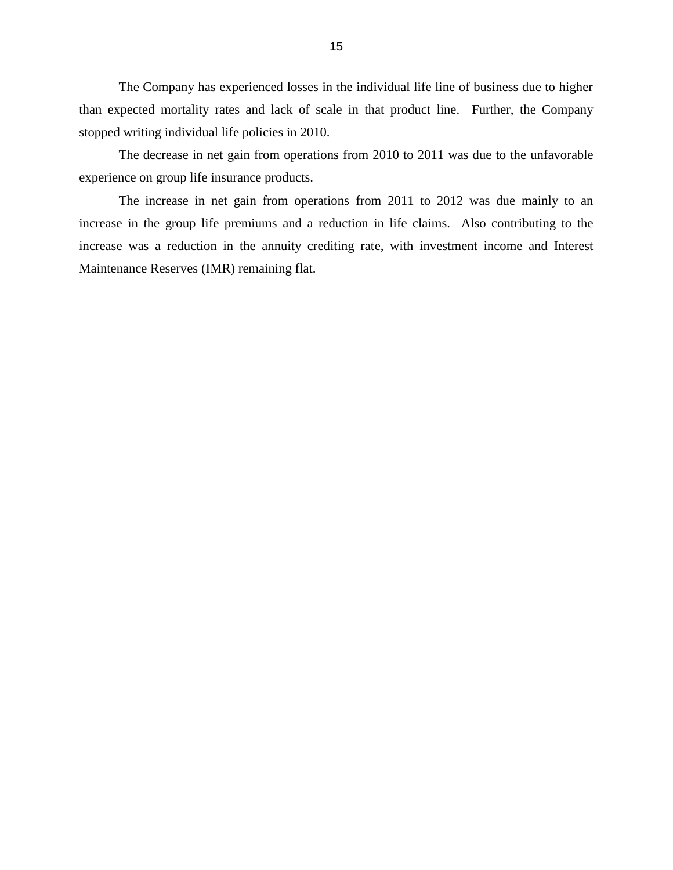than expected mortality rates and lack of scale in that product line. Further, the Company stopped writing individual life policies in 2010. The Company has experienced losses in the individual life line of business due to higher

The decrease in net gain from operations from 2010 to 2011 was due to the unfavorable experience on group life insurance products.

 The increase in net gain from operations from 2011 to 2012 was due mainly to an increase in the group life premiums and a reduction in life claims. Also contributing to the increase was a reduction in the annuity crediting rate, with investment income and Interest Maintenance Reserves (IMR) remaining flat.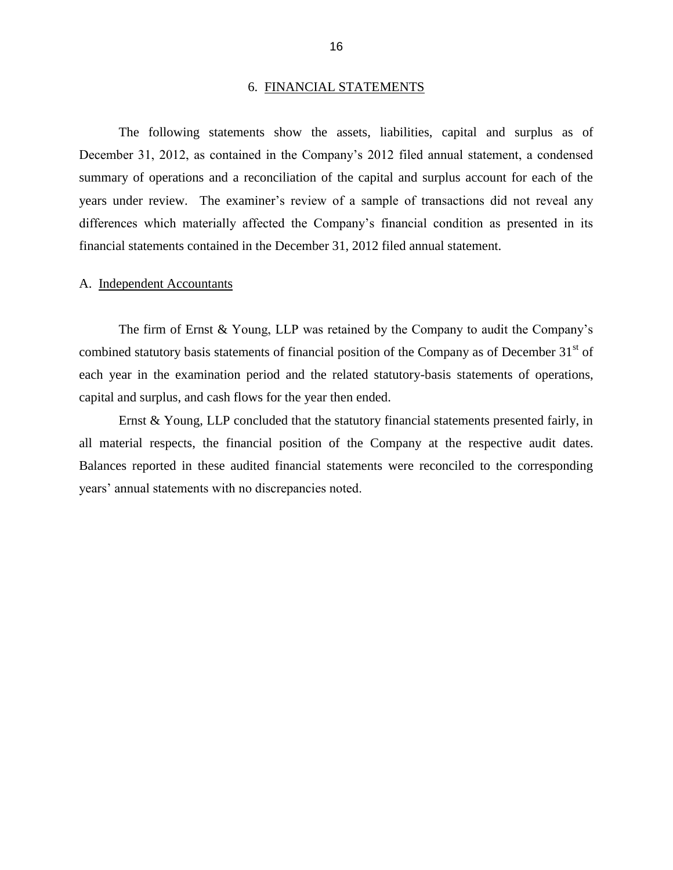#### 6. FINANCIAL STATEMENTS

<span id="page-18-0"></span> December 31, 2012, as contained in the Company's 2012 filed annual statement, a condensed summary of operations and a reconciliation of the capital and surplus account for each of the years under review. The examiner's review of a sample of transactions did not reveal any The following statements show the assets, liabilities, capital and surplus as of differences which materially affected the Company's financial condition as presented in its financial statements contained in the December 31, 2012 filed annual statement.

#### A. Independent Accountants

combined statutory basis statements of financial position of the Company as of December  $31<sup>st</sup>$  of The firm of Ernst & Young, LLP was retained by the Company to audit the Company's each year in the examination period and the related statutory-basis statements of operations, capital and surplus, and cash flows for the year then ended.

 Ernst & Young, LLP concluded that the statutory financial statements presented fairly, in all material respects, the financial position of the Company at the respective audit dates. Balances reported in these audited financial statements were reconciled to the corresponding years' annual statements with no discrepancies noted.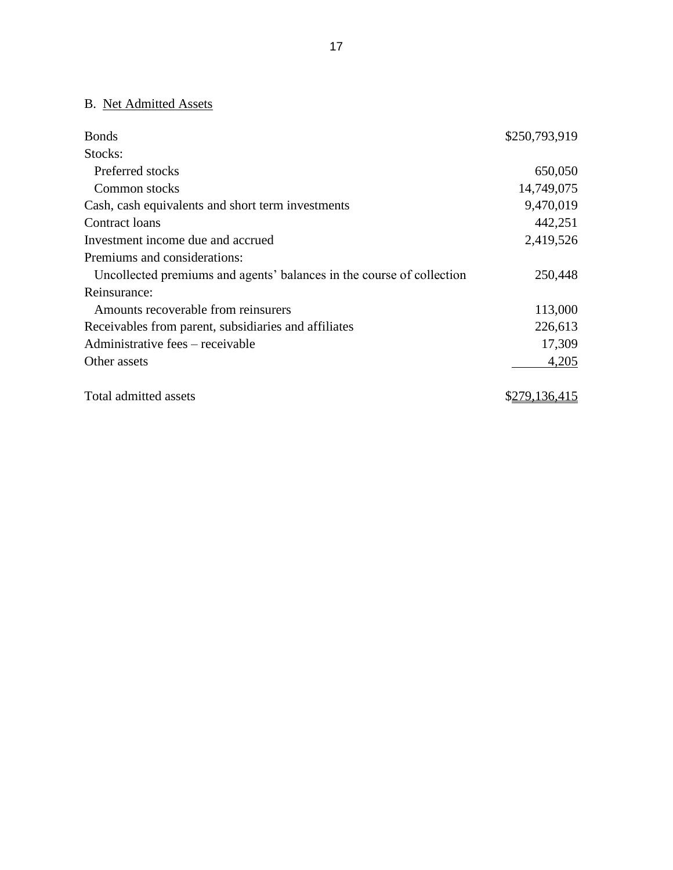# B. Net Admitted Assets

| <b>Bonds</b>                                                          | \$250,793,919 |
|-----------------------------------------------------------------------|---------------|
| Stocks:                                                               |               |
| Preferred stocks                                                      | 650,050       |
| Common stocks                                                         | 14,749,075    |
| Cash, cash equivalents and short term investments                     | 9,470,019     |
| Contract loans                                                        | 442,251       |
| Investment income due and accrued                                     | 2,419,526     |
| Premiums and considerations:                                          |               |
| Uncollected premiums and agents' balances in the course of collection | 250,448       |
| Reinsurance:                                                          |               |
| Amounts recoverable from reinsurers                                   | 113,000       |
| Receivables from parent, subsidiaries and affiliates                  | 226,613       |
| Administrative fees – receivable                                      | 17,309        |
| Other assets                                                          | 4,205         |
| Total admitted assets                                                 | \$279,136,415 |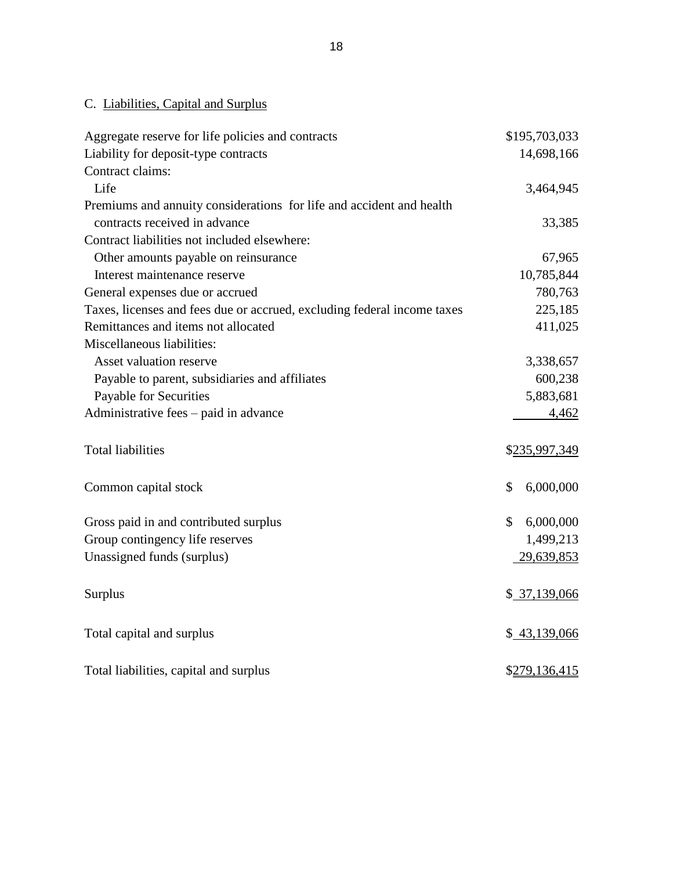# C. Liabilities, Capital and Surplus

| Aggregate reserve for life policies and contracts                       | \$195,703,033   |
|-------------------------------------------------------------------------|-----------------|
| Liability for deposit-type contracts                                    | 14,698,166      |
| Contract claims:                                                        |                 |
| Life                                                                    | 3,464,945       |
| Premiums and annuity considerations for life and accident and health    |                 |
| contracts received in advance                                           | 33,385          |
| Contract liabilities not included elsewhere:                            |                 |
| Other amounts payable on reinsurance                                    | 67,965          |
| Interest maintenance reserve                                            | 10,785,844      |
| General expenses due or accrued                                         | 780,763         |
| Taxes, licenses and fees due or accrued, excluding federal income taxes | 225,185         |
| Remittances and items not allocated                                     | 411,025         |
| Miscellaneous liabilities:                                              |                 |
| Asset valuation reserve                                                 | 3,338,657       |
| Payable to parent, subsidiaries and affiliates                          | 600,238         |
| Payable for Securities                                                  | 5,883,681       |
| Administrative fees – paid in advance                                   | 4,462           |
| <b>Total liabilities</b>                                                | \$235,997,349   |
| Common capital stock                                                    | \$<br>6,000,000 |
| Gross paid in and contributed surplus                                   | \$<br>6,000,000 |
| Group contingency life reserves                                         | 1,499,213       |
| Unassigned funds (surplus)                                              | 29,639,853      |
| Surplus                                                                 | \$37,139,066    |
| Total capital and surplus                                               | \$43,139,066    |
| Total liabilities, capital and surplus                                  | \$279,136,415   |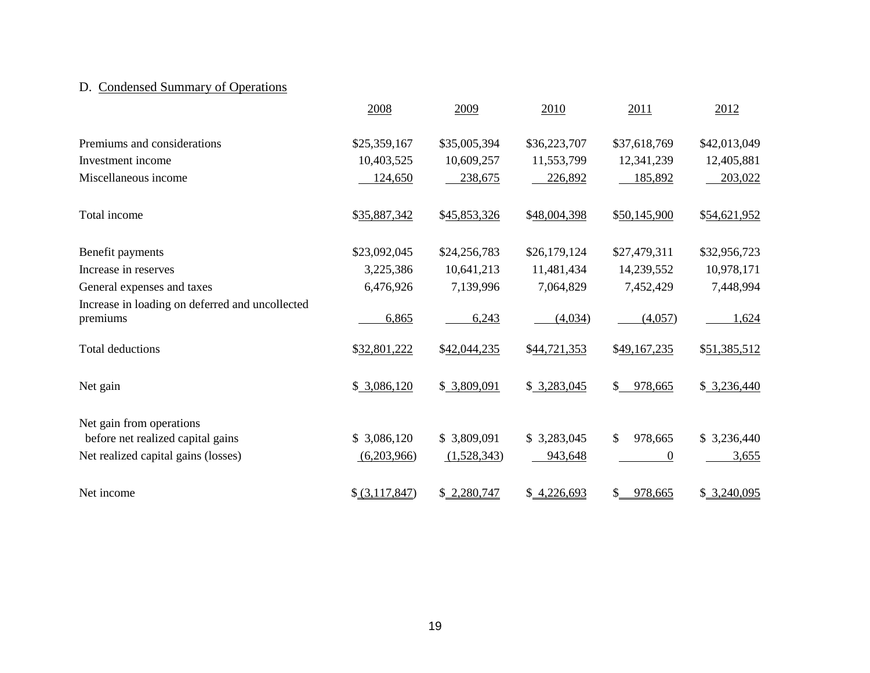# D. Condensed Summary of Operations

|                                                             | 2008           | 2009         | 2010         | 2011                      | 2012         |
|-------------------------------------------------------------|----------------|--------------|--------------|---------------------------|--------------|
| Premiums and considerations                                 | \$25,359,167   | \$35,005,394 | \$36,223,707 | \$37,618,769              | \$42,013,049 |
| Investment income                                           | 10,403,525     | 10,609,257   | 11,553,799   | 12,341,239                | 12,405,881   |
| Miscellaneous income                                        | 124,650        | 238,675      | 226,892      | 185,892                   | 203,022      |
| Total income                                                | \$35,887,342   | \$45,853,326 | \$48,004,398 | \$50,145,900              | \$54,621,952 |
| Benefit payments                                            | \$23,092,045   | \$24,256,783 | \$26,179,124 | \$27,479,311              | \$32,956,723 |
| Increase in reserves                                        | 3,225,386      | 10,641,213   | 11,481,434   | 14,239,552                | 10,978,171   |
| General expenses and taxes                                  | 6,476,926      | 7,139,996    | 7,064,829    | 7,452,429                 | 7,448,994    |
| Increase in loading on deferred and uncollected<br>premiums | 6,865          | 6,243        | (4,034)      | (4,057)                   | 1,624        |
| <b>Total deductions</b>                                     | \$32,801,222   | \$42,044,235 | \$44,721,353 | \$49,167,235              | \$51,385,512 |
| Net gain                                                    | \$3,086,120    | \$3,809,091  | \$3,283,045  | $\mathbb{S}^-$<br>978,665 | \$3,236,440  |
| Net gain from operations                                    |                |              |              |                           |              |
| before net realized capital gains                           | \$3,086,120    | \$3,809,091  | \$3,283,045  | $\mathbb{S}$<br>978,665   | \$3,236,440  |
| Net realized capital gains (losses)                         | (6,203,966)    | (1,528,343)  | 943,648      | $\theta$                  | 3,655        |
| Net income                                                  | \$ (3,117,847) | \$2,280,747  | \$4,226,693  | 978,665<br>$\mathbb{S}^-$ | \$3,240,095  |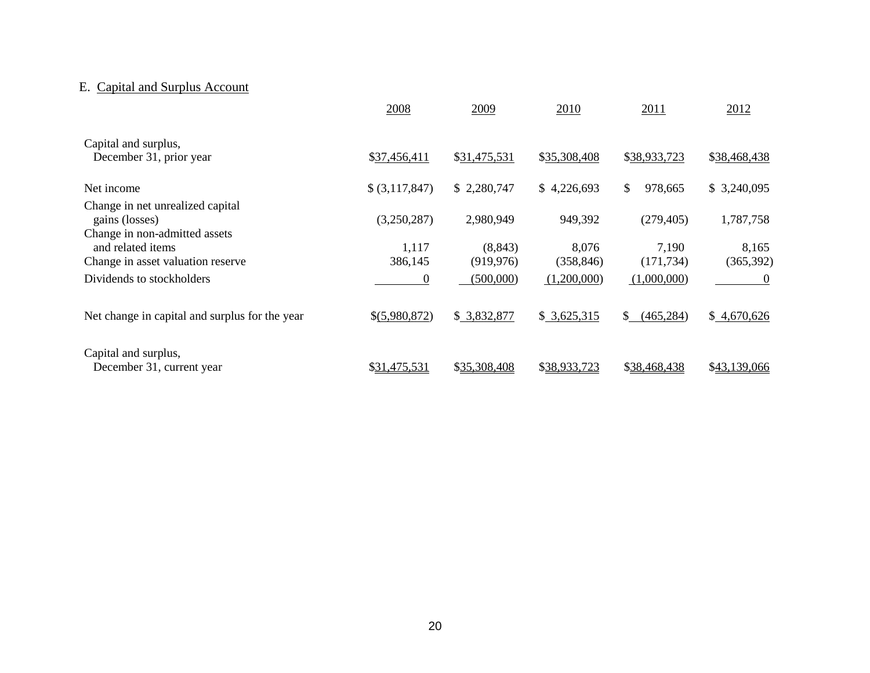# E. Capital and Surplus Account

|                                                                                         | 2008             | 2009                   | 2010                | 2011                | 2012                |
|-----------------------------------------------------------------------------------------|------------------|------------------------|---------------------|---------------------|---------------------|
| Capital and surplus,<br>December 31, prior year                                         | \$37,456,411     | \$31,475,531           | \$35,308,408        | \$38,933,723        | \$38,468,438        |
| Net income                                                                              | \$ (3,117,847)   | \$2,280,747            | \$4,226,693         | \$<br>978,665       | \$3,240,095         |
| Change in net unrealized capital<br>gains (losses)                                      | (3,250,287)      | 2,980,949              | 949,392             | (279, 405)          | 1,787,758           |
| Change in non-admitted assets<br>and related items<br>Change in asset valuation reserve | 1,117<br>386,145 | (8, 843)<br>(919, 976) | 8,076<br>(358, 846) | 7,190<br>(171, 734) | 8,165<br>(365, 392) |
| Dividends to stockholders                                                               | 0                | (500,000)              | (1,200,000)         | (1,000,000)         | $\theta$            |
| Net change in capital and surplus for the year                                          | \$(5,980,872)    | \$3,832,877            | \$3,625,315         | \$.<br>(465, 284)   | \$4,670,626         |
| Capital and surplus,<br>December 31, current year                                       | \$31,475,531     | \$35,308,408           | \$38,933,723        | \$38,468,438        | \$43,139,066        |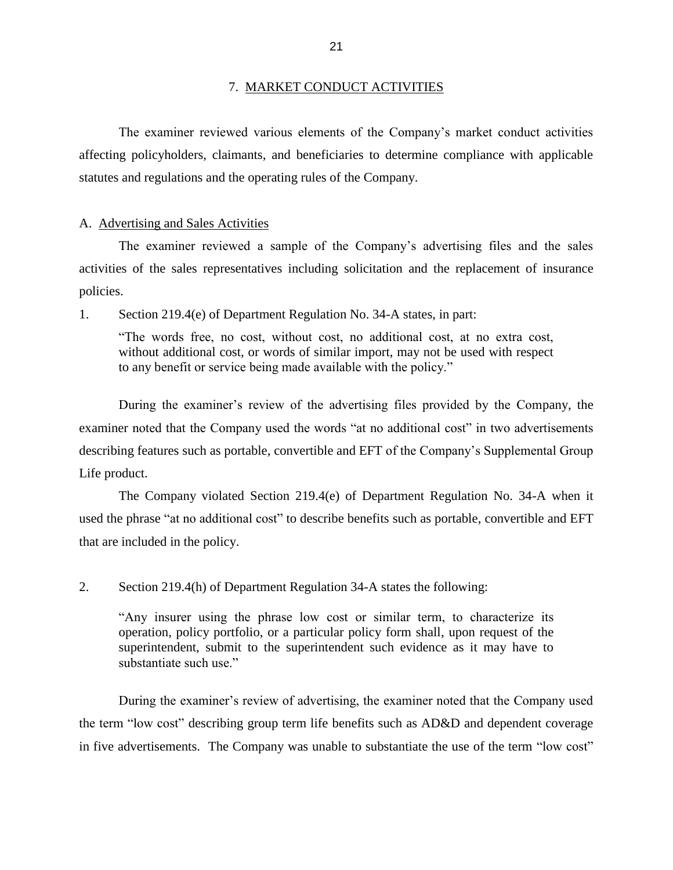#### 7. MARKET CONDUCT ACTIVITIES

<span id="page-23-0"></span> affecting policyholders, claimants, and beneficiaries to determine compliance with applicable The examiner reviewed various elements of the Company's market conduct activities statutes and regulations and the operating rules of the Company.

#### A. Advertising and Sales Activities

 The examiner reviewed a sample of the Company's advertising files and the sales activities of the sales representatives including solicitation and the replacement of insurance policies.

1. Section 219.4(e) of Department Regulation No. 34-A states, in part:

 "The words free, no cost, without cost, no additional cost, at no extra cost, without additional cost, or words of similar import, may not be used with respect to any benefit or service being made available with the policy."

 During the examiner's review of the advertising files provided by the Company, the examiner noted that the Company used the words "at no additional cost" in two advertisements describing features such as portable, convertible and EFT of the Company's Supplemental Group Life product.

 The Company violated Section 219.4(e) of Department Regulation No. 34-A when it used the phrase "at no additional cost" to describe benefits such as portable, convertible and EFT that are included in the policy.

2. Section 219.4(h) of Department Regulation 34-A states the following:

 "Any insurer using the phrase low cost or similar term, to characterize its operation, policy portfolio, or a particular policy form shall, upon request of the superintendent, submit to the superintendent such evidence as it may have to substantiate such use."

 During the examiner's review of advertising, the examiner noted that the Company used in five advertisements. The Company was unable to substantiate the use of the term "low cost"the term "low cost" describing group term life benefits such as AD&D and dependent coverage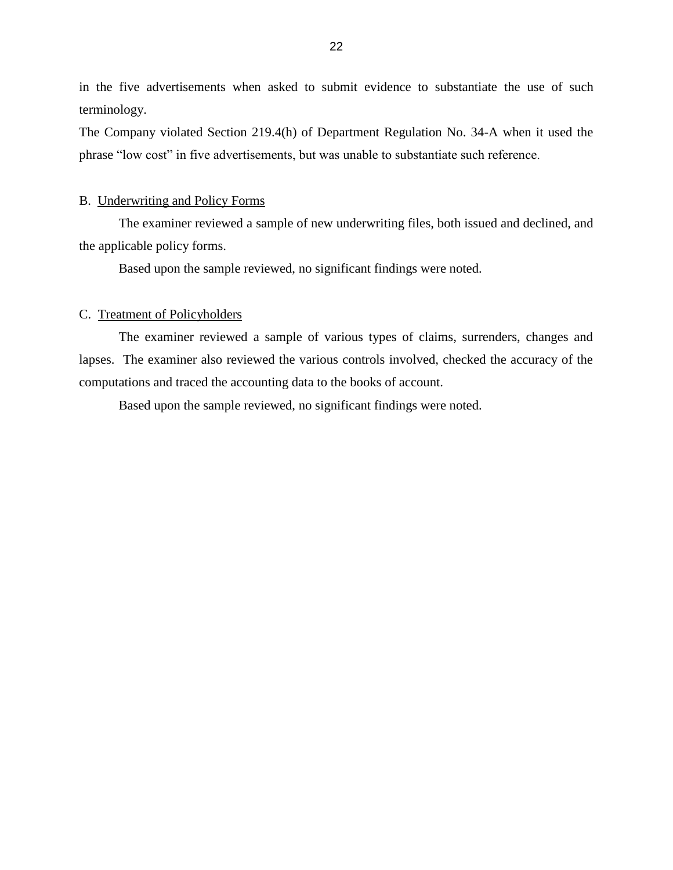<span id="page-24-0"></span> in the five advertisements when asked to submit evidence to substantiate the use of such terminology.

 The Company violated Section 219.4(h) of Department Regulation No. 34-A when it used the phrase "low cost" in five advertisements, but was unable to substantiate such reference.

#### B. Underwriting and Policy Forms

The examiner reviewed a sample of new underwriting files, both issued and declined, and the applicable policy forms.

Based upon the sample reviewed, no significant findings were noted.

#### C. Treatment of Policyholders

 lapses. The examiner also reviewed the various controls involved, checked the accuracy of the The examiner reviewed a sample of various types of claims, surrenders, changes and computations and traced the accounting data to the books of account.

Based upon the sample reviewed, no significant findings were noted.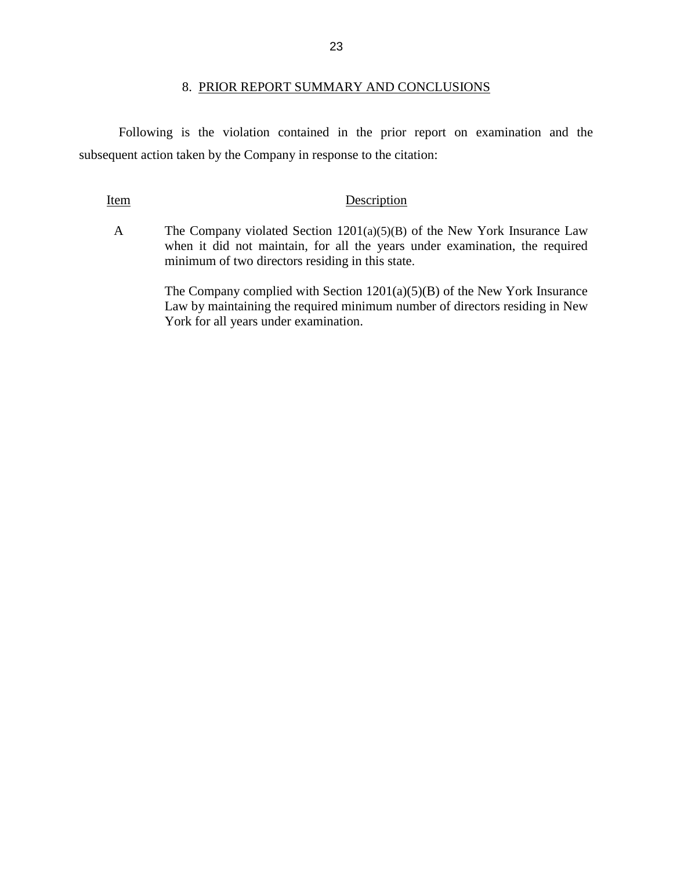#### 8. PRIOR REPORT SUMMARY AND CONCLUSIONS

<span id="page-25-0"></span> Following is the violation contained in the prior report on examination and the subsequent action taken by the Company in response to the citation:

#### Item Description

 A The Company violated Section 1201(a)(5)(B) of the New York Insurance Law when it did not maintain, for all the years under examination, the required minimum of two directors residing in this state.

> The Company complied with Section 1201(a)(5)(B) of the New York Insurance Law by maintaining the required minimum number of directors residing in New York for all years under examination.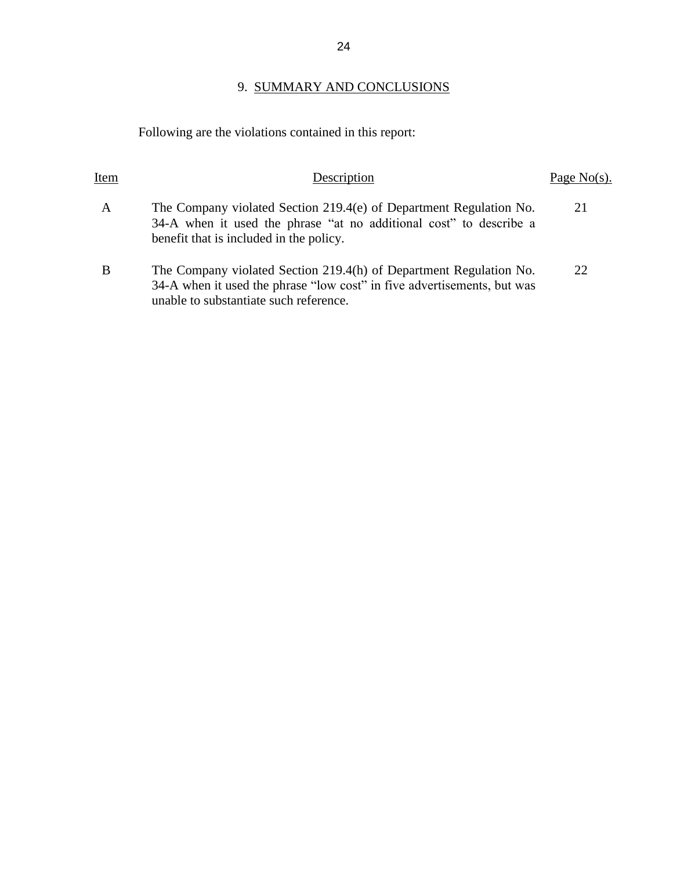# 9. SUMMARY AND CONCLUSIONS

# Following are the violations contained in this report:

| Item        | Description                                                                                                                                                                             | Page $No(s)$ . |
|-------------|-----------------------------------------------------------------------------------------------------------------------------------------------------------------------------------------|----------------|
| $\mathbf A$ | The Company violated Section 219.4(e) of Department Regulation No.<br>34-A when it used the phrase "at no additional cost" to describe a<br>benefit that is included in the policy.     | 21             |
| B           | The Company violated Section 219.4(h) of Department Regulation No.<br>34-A when it used the phrase "low cost" in five advertisements, but was<br>unable to substantiate such reference. | 22.            |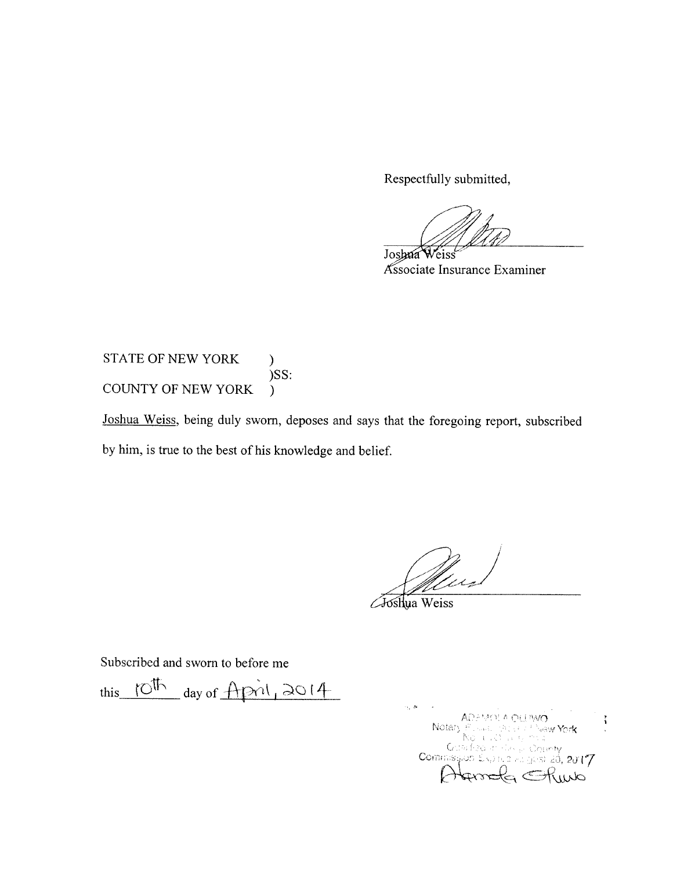Respectfully submitted,

Joshua Weiss Associate Insurance Examiner

**STATE OF NEW YORK**  $\mathcal{L}$  $)$ SS: COUNTY OF NEW YORK  $\mathcal{F}$ 

Joshua Weiss, being duly sworn, deposes and says that the foregoing report, subscribed by him, is true to the best of his knowledge and belief.

//<br>/<br>Ll Le

**Ashya** Weiss

Subscribed and sworn to before me

this 10th day of April, 2014

 $\cdot$  ,  $\infty$ ADUA OLLINAÓ<br>6. DECEMBRA <mark>York</mark> ł, Notary dan figip an El ਿੰਨਜ਼ਾ Commission  $2J17$ da